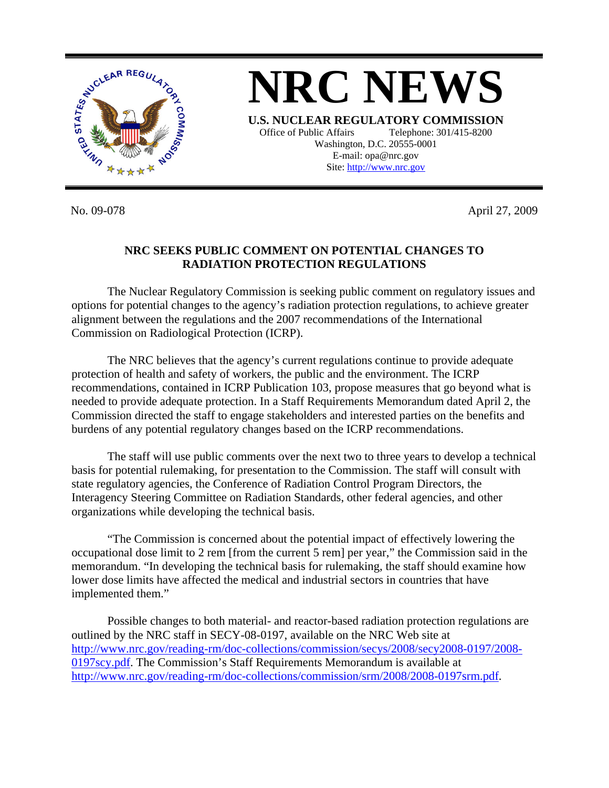

No. 09-078 April 27, 2009

## **NRC SEEKS PUBLIC COMMENT ON POTENTIAL CHANGES TO RADIATION PROTECTION REGULATIONS**

 The Nuclear Regulatory Commission is seeking public comment on regulatory issues and options for potential changes to the agency's radiation protection regulations, to achieve greater alignment between the regulations and the 2007 recommendations of the International Commission on Radiological Protection (ICRP).

 The NRC believes that the agency's current regulations continue to provide adequate protection of health and safety of workers, the public and the environment. The ICRP recommendations, contained in ICRP Publication 103, propose measures that go beyond what is needed to provide adequate protection. In a Staff Requirements Memorandum dated April 2, the Commission directed the staff to engage stakeholders and interested parties on the benefits and burdens of any potential regulatory changes based on the ICRP recommendations.

 The staff will use public comments over the next two to three years to develop a technical basis for potential rulemaking, for presentation to the Commission. The staff will consult with state regulatory agencies, the Conference of Radiation Control Program Directors, the Interagency Steering Committee on Radiation Standards, other federal agencies, and other organizations while developing the technical basis.

 "The Commission is concerned about the potential impact of effectively lowering the occupational dose limit to 2 rem [from the current 5 rem] per year," the Commission said in the memorandum. "In developing the technical basis for rulemaking, the staff should examine how lower dose limits have affected the medical and industrial sectors in countries that have implemented them."

 Possible changes to both material- and reactor-based radiation protection regulations are outlined by the NRC staff in SECY-08-0197, available on the NRC Web site at [http://www.nrc.gov/reading-rm/doc-collections/commission/secys/2008/secy2008-0197/2008-](http://www.nrc.gov/reading-rm/doc-collections/commission/secys/2008/secy2008-0197/2008-0197scy.pdf) [0197scy.pdf.](http://www.nrc.gov/reading-rm/doc-collections/commission/secys/2008/secy2008-0197/2008-0197scy.pdf) The Commission's Staff Requirements Memorandum is available at [http://www.nrc.gov/reading-rm/doc-collections/commission/srm/2008/2008-0197srm.pdf.](http://www.nrc.gov/reading-rm/doc-collections/commission/srm/2008/2008-0197srm.pdf)